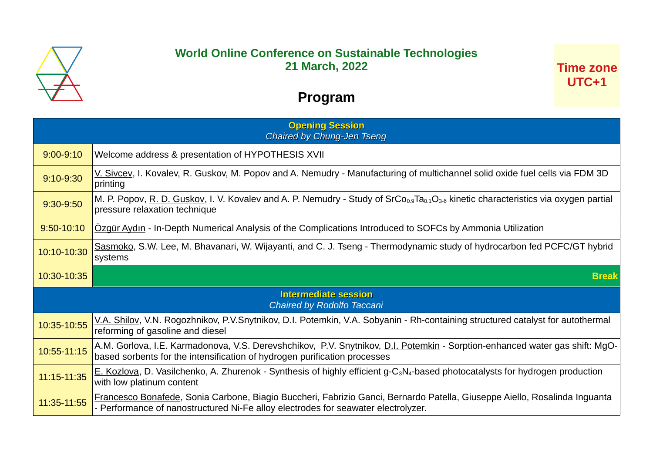

## **World Online Conference on Sustainable Technologies 21 March, 2022**

## **Program**

| <b>Opening Session</b><br><b>Chaired by Chung-Jen Tseng</b> |                                                                                                                                                                                                          |
|-------------------------------------------------------------|----------------------------------------------------------------------------------------------------------------------------------------------------------------------------------------------------------|
| $9:00 - 9:10$                                               | Welcome address & presentation of HYPOTHESIS XVII                                                                                                                                                        |
| $9:10-9:30$                                                 | V. Sivcev, I. Kovalev, R. Guskov, M. Popov and A. Nemudry - Manufacturing of multichannel solid oxide fuel cells via FDM 3D<br>printing                                                                  |
| 9:30-9:50                                                   | M. P. Popov, R. D. Guskov, I. V. Kovalev and A. P. Nemudry - Study of SrCo <sub>0.9</sub> Ta <sub>0.1</sub> O <sub>3-</sub> kinetic characteristics via oxygen partial<br>pressure relaxation technique  |
| $9:50 - 10:10$                                              | Ozgür Aydın - In-Depth Numerical Analysis of the Complications Introduced to SOFCs by Ammonia Utilization                                                                                                |
| 10:10-10:30                                                 | Sasmoko, S.W. Lee, M. Bhavanari, W. Wijayanti, and C. J. Tseng - Thermodynamic study of hydrocarbon fed PCFC/GT hybrid<br>systems                                                                        |
|                                                             |                                                                                                                                                                                                          |
| 10:30-10:35                                                 | <b>Break</b>                                                                                                                                                                                             |
|                                                             | <b>Intermediate session</b><br>Chaired by Rodolfo Taccani                                                                                                                                                |
| 10:35-10:55                                                 | V.A. Shilov, V.N. Rogozhnikov, P.V.Snytnikov, D.I. Potemkin, V.A. Sobyanin - Rh-containing structured catalyst for autothermal<br>reforming of gasoline and diesel                                       |
| 10:55-11:15                                                 | A.M. Gorlova, I.E. Karmadonova, V.S. Derevshchikov, P.V. Snytnikov, D.I. Potemkin - Sorption-enhanced water gas shift: MgO-<br>based sorbents for the intensification of hydrogen purification processes |
| 11:15-11:35                                                 | E. Kozlova, D. Vasilchenko, A. Zhurenok - Synthesis of highly efficient g-C <sub>3</sub> N <sub>4</sub> -based photocatalysts for hydrogen production<br>with low platinum content                       |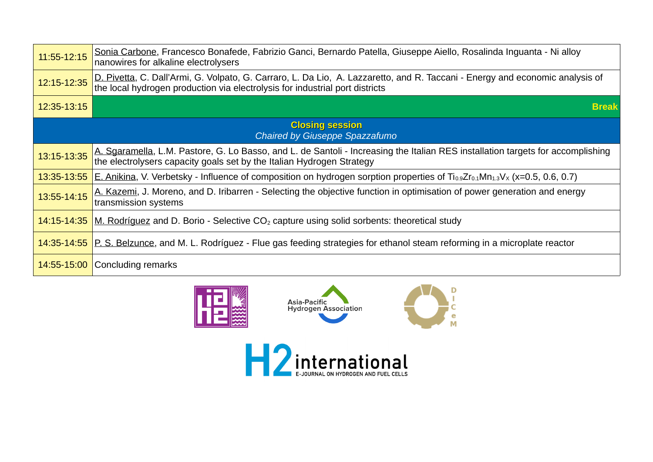| 11:55-12:15                                                     | Sonia Carbone, Francesco Bonafede, Fabrizio Ganci, Bernardo Patella, Giuseppe Aiello, Rosalinda Inguanta - Ni alloy<br>nanowires for alkaline electrolysers                                                  |
|-----------------------------------------------------------------|--------------------------------------------------------------------------------------------------------------------------------------------------------------------------------------------------------------|
| 12:15-12:35                                                     | D. Pivetta, C. Dall'Armi, G. Volpato, G. Carraro, L. Da Lio, A. Lazzaretto, and R. Taccani - Energy and economic analysis of<br>the local hydrogen production via electrolysis for industrial port districts |
| 12:35-13:15                                                     | <b>Break</b>                                                                                                                                                                                                 |
| <b>Closing session</b><br><b>Chaired by Giuseppe Spazzafumo</b> |                                                                                                                                                                                                              |
| 13:15-13:35                                                     | A. Sgaramella, L.M. Pastore, G. Lo Basso, and L. de Santoli - Increasing the Italian RES installation targets for accomplishing<br>the electrolysers capacity goals set by the Italian Hydrogen Strategy     |
| 13:35-13:55                                                     | E. Anikina, V. Verbetsky - Influence of composition on hydrogen sorption properties of $Ti_{0.9}Zr_{0.1}Mn_{1.3}V_x$ (x=0.5, 0.6, 0.7)                                                                       |
| 13:55-14:15                                                     | A. Kazemi, J. Moreno, and D. Iribarren - Selecting the objective function in optimisation of power generation and energy<br>transmission systems                                                             |
| 14:15-14:35                                                     | M. Rodríguez and D. Borio - Selective $CO2$ capture using solid sorbents: theoretical study                                                                                                                  |
|                                                                 | 14:35-14:55 P. S. Belzunce, and M. L. Rodríguez - Flue gas feeding strategies for ethanol steam reforming in a microplate reactor                                                                            |
| 14:55-15:00                                                     | Concluding remarks                                                                                                                                                                                           |